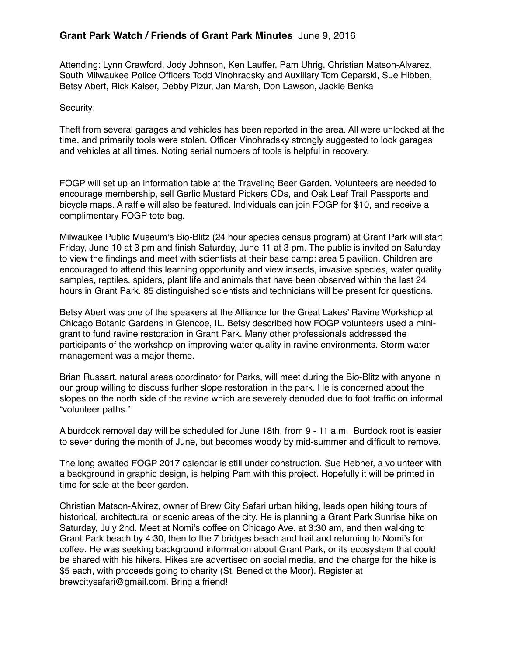Attending: Lynn Crawford, Jody Johnson, Ken Lauffer, Pam Uhrig, Christian Matson-Alvarez, South Milwaukee Police Officers Todd Vinohradsky and Auxiliary Tom Ceparski, Sue Hibben, Betsy Abert, Rick Kaiser, Debby Pizur, Jan Marsh, Don Lawson, Jackie Benka

## Security:

Theft from several garages and vehicles has been reported in the area. All were unlocked at the time, and primarily tools were stolen. Officer Vinohradsky strongly suggested to lock garages and vehicles at all times. Noting serial numbers of tools is helpful in recovery.

FOGP will set up an information table at the Traveling Beer Garden. Volunteers are needed to encourage membership, sell Garlic Mustard Pickers CDs, and Oak Leaf Trail Passports and bicycle maps. A raffle will also be featured. Individuals can join FOGP for \$10, and receive a complimentary FOGP tote bag.

Milwaukee Public Museum's Bio-Blitz (24 hour species census program) at Grant Park will start Friday, June 10 at 3 pm and finish Saturday, June 11 at 3 pm. The public is invited on Saturday to view the findings and meet with scientists at their base camp: area 5 pavilion. Children are encouraged to attend this learning opportunity and view insects, invasive species, water quality samples, reptiles, spiders, plant life and animals that have been observed within the last 24 hours in Grant Park. 85 distinguished scientists and technicians will be present for questions.

Betsy Abert was one of the speakers at the Alliance for the Great Lakes' Ravine Workshop at Chicago Botanic Gardens in Glencoe, IL. Betsy described how FOGP volunteers used a minigrant to fund ravine restoration in Grant Park. Many other professionals addressed the participants of the workshop on improving water quality in ravine environments. Storm water management was a major theme.

Brian Russart, natural areas coordinator for Parks, will meet during the Bio-Blitz with anyone in our group willing to discuss further slope restoration in the park. He is concerned about the slopes on the north side of the ravine which are severely denuded due to foot traffic on informal "volunteer paths."

A burdock removal day will be scheduled for June 18th, from 9 - 11 a.m. Burdock root is easier to sever during the month of June, but becomes woody by mid-summer and difficult to remove.

The long awaited FOGP 2017 calendar is still under construction. Sue Hebner, a volunteer with a background in graphic design, is helping Pam with this project. Hopefully it will be printed in time for sale at the beer garden.

Christian Matson-Alvirez, owner of Brew City Safari urban hiking, leads open hiking tours of historical, architectural or scenic areas of the city. He is planning a Grant Park Sunrise hike on Saturday, July 2nd. Meet at Nomi's coffee on Chicago Ave. at 3:30 am, and then walking to Grant Park beach by 4:30, then to the 7 bridges beach and trail and returning to Nomi's for coffee. He was seeking background information about Grant Park, or its ecosystem that could be shared with his hikers. Hikes are advertised on social media, and the charge for the hike is \$5 each, with proceeds going to charity (St. Benedict the Moor). Register at brewcitysafari@gmail.com. Bring a friend!